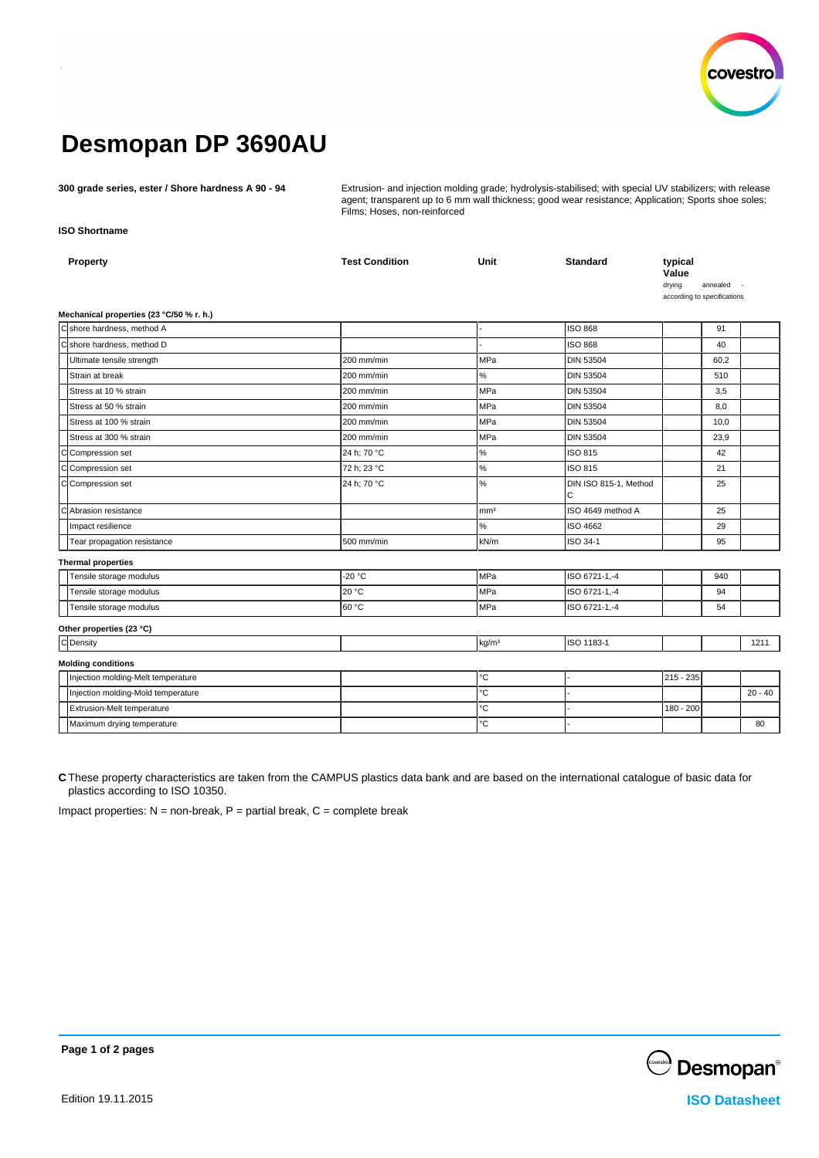

# **Desmopan DP 3690AU**

**300 grade series, ester / Shore hardness A 90 - 94** Extrusion- and injection molding grade; hydrolysis-stabilised; with special UV stabilizers; with release agent; transparent up to 6 mm wall thickness; good wear resistance; Application; Sports shoe soles; Films; Hoses, non-reinforced

**ISO Shortname**

| Property                                 | <b>Test Condition</b> | Unit              | <b>Standard</b>            | typical<br>Value<br>drying<br>according to specifications | annealed |           |
|------------------------------------------|-----------------------|-------------------|----------------------------|-----------------------------------------------------------|----------|-----------|
| Mechanical properties (23 °C/50 % r. h.) |                       |                   |                            |                                                           |          |           |
| Cshore hardness. method A                |                       |                   | <b>ISO 868</b>             |                                                           | 91       |           |
| Cshore hardness, method D                |                       |                   | <b>ISO 868</b>             |                                                           | 40       |           |
| Ultimate tensile strength                | 200 mm/min            | MPa               | <b>DIN 53504</b>           |                                                           | 60,2     |           |
| Strain at break                          | 200 mm/min            | $\%$              | <b>DIN 53504</b>           |                                                           | 510      |           |
| Stress at 10 % strain                    | 200 mm/min            | <b>MPa</b>        | <b>DIN 53504</b>           |                                                           | 3,5      |           |
| Stress at 50 % strain                    | 200 mm/min            | MPa               | <b>DIN 53504</b>           |                                                           | 8,0      |           |
| Stress at 100 % strain                   | 200 mm/min            | <b>MPa</b>        | <b>DIN 53504</b>           |                                                           | 10,0     |           |
| Stress at 300 % strain                   | 200 mm/min            | <b>MPa</b>        | <b>DIN 53504</b>           |                                                           | 23,9     |           |
| C<br>Compression set                     | 24 h: 70 °C           | $\%$              | ISO 815                    |                                                           | 42       |           |
| C Compression set                        | 72 h; 23 °C           | $\%$              | ISO 815                    |                                                           | 21       |           |
| C Compression set                        | 24 h; 70 °C           | $\%$              | DIN ISO 815-1, Method<br>C |                                                           | 25       |           |
| C<br>Abrasion resistance                 |                       | mm <sup>3</sup>   | ISO 4649 method A          |                                                           | 25       |           |
| Impact resilience                        |                       | $\%$              | ISO 4662                   |                                                           | 29       |           |
| Tear propagation resistance              | 500 mm/min            | kN/m              | ISO 34-1                   |                                                           | 95       |           |
| <b>Thermal properties</b>                |                       |                   |                            |                                                           |          |           |
| Tensile storage modulus                  | $-20 °C$              | <b>MPa</b>        | ISO 6721-1,-4              |                                                           | 940      |           |
| Tensile storage modulus                  | 20 °C                 | <b>MPa</b>        | ISO 6721-1,-4              |                                                           | 94       |           |
| Tensile storage modulus                  | 60 °C                 | MPa               | ISO 6721-1,-4              |                                                           | 54       |           |
| Other properties (23 °C)                 |                       |                   |                            |                                                           |          |           |
| C Density                                |                       | kg/m <sup>3</sup> | ISO 1183-1                 |                                                           |          | 1211      |
| <b>Molding conditions</b>                |                       |                   |                            |                                                           |          |           |
| Injection molding-Melt temperature       |                       | $^{\circ}{\rm C}$ |                            | 215 - 235                                                 |          |           |
| Injection molding-Mold temperature       |                       | °C                |                            |                                                           |          | $20 - 40$ |
| Extrusion-Melt temperature               |                       | °C                |                            | 180 - 200                                                 |          |           |
| Maximum drying temperature               |                       | $^{\circ}{\rm C}$ |                            |                                                           |          | 80        |
|                                          |                       |                   |                            |                                                           |          |           |

**C** These property characteristics are taken from the CAMPUS plastics data bank and are based on the international catalogue of basic data for plastics according to ISO 10350.

Impact properties:  $N =$  non-break,  $P =$  partial break,  $C =$  complete break



**Page 1 of 2 pages**